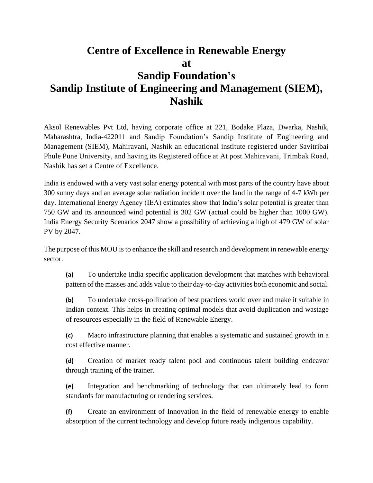## **Centre of Excellence in Renewable Energy at Sandip Foundation's Sandip Institute of Engineering and Management (SIEM), Nashik**

Aksol Renewables Pvt Ltd, having corporate office at 221, Bodake Plaza, Dwarka, Nashik, Maharashtra, India-422011 and Sandip Foundation's Sandip Institute of Engineering and Management (SIEM), Mahiravani, Nashik an educational institute registered under Savitribai Phule Pune University, and having its Registered office at At post Mahiravani, Trimbak Road, Nashik has set a Centre of Excellence.

India is endowed with a very vast solar energy potential with most parts of the country have about 300 sunny days and an average solar radiation incident over the land in the range of 4-7 kWh per day. International Energy Agency (IEA) estimates show that India's solar potential is greater than 750 GW and its announced wind potential is 302 GW (actual could be higher than 1000 GW). India Energy Security Scenarios 2047 show a possibility of achieving a high of 479 GW of solar PV by 2047.

The purpose of this MOU is to enhance the skill and research and development in renewable energy sector.

**(a)** To undertake India specific application development that matches with behavioral pattern of the masses and adds value to their day-to-day activities both economic and social.

**(b)** To undertake cross-pollination of best practices world over and make it suitable in Indian context. This helps in creating optimal models that avoid duplication and wastage of resources especially in the field of Renewable Energy.

**(c)** Macro infrastructure planning that enables a systematic and sustained growth in a cost effective manner.

**(d)** Creation of market ready talent pool and continuous talent building endeavor through training of the trainer.

**(e)** Integration and benchmarking of technology that can ultimately lead to form standards for manufacturing or rendering services.

**(f)** Create an environment of Innovation in the field of renewable energy to enable absorption of the current technology and develop future ready indigenous capability.